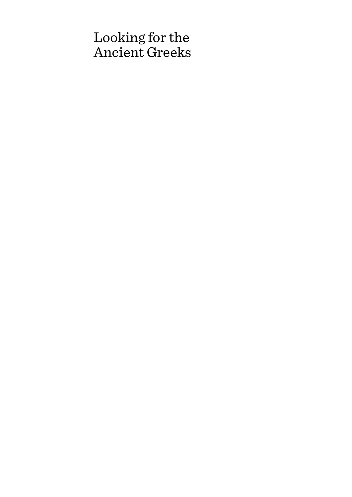# Looking for the Ancient Greeks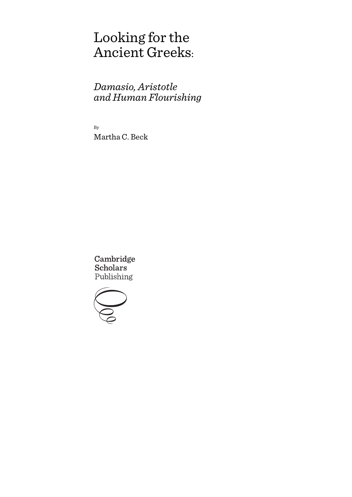# Looking for the Ancient Greeks:

*Damasio, Aristotle and Human Flourishing*

By Martha C. Beck

Cambridge **Scholars** Publishing

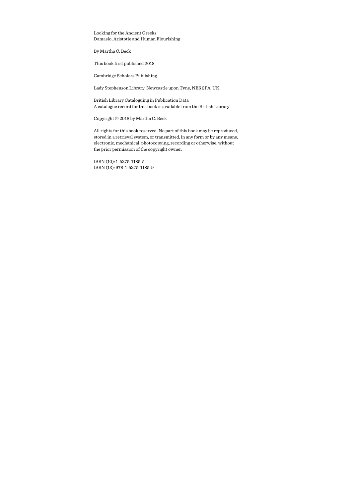Looking for the Ancient Greeks: Damasio, Aristotle and Human Flourishing

By Martha C. Beck

This book first published 2018

Cambridge Scholars Publishing

Lady Stephenson Library, Newcastle upon Tyne, NE6 2PA, UK

British Library Cataloguing in Publication Data A catalogue record for this book is available from the British Library

Copyright © 2018 by Martha C. Beck

All rights for this book reserved. No part of this book may be reproduced, stored in a retrieval system, or transmitted, in any form or by any means, electronic, mechanical, photocopying, recording or otherwise, without the prior permission of the copyright owner.

ISBN (10): 1-5275-1185-5 ISBN (13): 978-1-5275-1185-9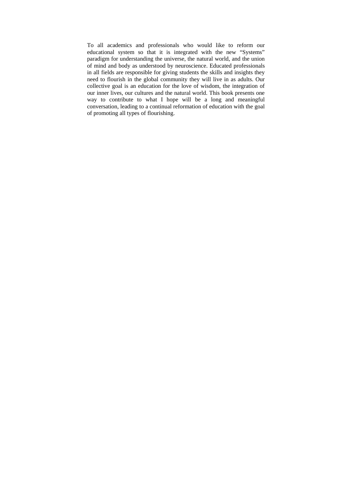To all academics and professionals who would like to reform our educational system so that it is integrated with the new "Systems" paradigm for understanding the universe, the natural world, and the union of mind and body as understood by neuroscience. Educated professionals in all fields are responsible for giving students the skills and insights they need to flourish in the global community they will live in as adults. Our collective goal is an education for the love of wisdom, the integration of our inner lives, our cultures and the natural world. This book presents one way to contribute to what I hope will be a long and meaningful conversation, leading to a continual reformation of education with the goal of promoting all types of flourishing.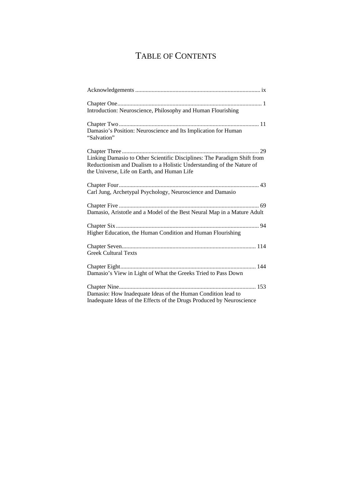# TABLE OF CONTENTS

| Introduction: Neuroscience, Philosophy and Human Flourishing                                                                                                                                     |
|--------------------------------------------------------------------------------------------------------------------------------------------------------------------------------------------------|
| Damasio's Position: Neuroscience and Its Implication for Human<br>"Salvation"                                                                                                                    |
| Linking Damasio to Other Scientific Disciplines: The Paradigm Shift from<br>Reductionism and Dualism to a Holistic Understanding of the Nature of<br>the Universe, Life on Earth, and Human Life |
| Carl Jung, Archetypal Psychology, Neuroscience and Damasio                                                                                                                                       |
| Damasio, Aristotle and a Model of the Best Neural Map in a Mature Adult                                                                                                                          |
| Higher Education, the Human Condition and Human Flourishing                                                                                                                                      |
| <b>Greek Cultural Texts</b>                                                                                                                                                                      |
| Damasio's View in Light of What the Greeks Tried to Pass Down                                                                                                                                    |
| Damasio: How Inadequate Ideas of the Human Condition lead to<br>Inadequate Ideas of the Effects of the Drugs Produced by Neuroscience                                                            |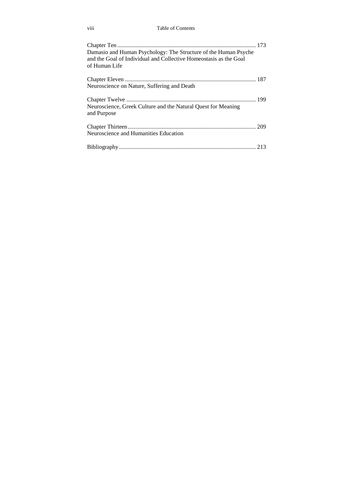#### viii Table of Contents

| Damasio and Human Psychology: The Structure of the Human Psyche              |  |
|------------------------------------------------------------------------------|--|
| and the Goal of Individual and Collective Homeostasis as the Goal            |  |
| of Human Life                                                                |  |
|                                                                              |  |
| Neuroscience on Nature, Suffering and Death                                  |  |
|                                                                              |  |
| Neuroscience, Greek Culture and the Natural Quest for Meaning<br>and Purpose |  |
|                                                                              |  |
| Neuroscience and Humanities Education                                        |  |
|                                                                              |  |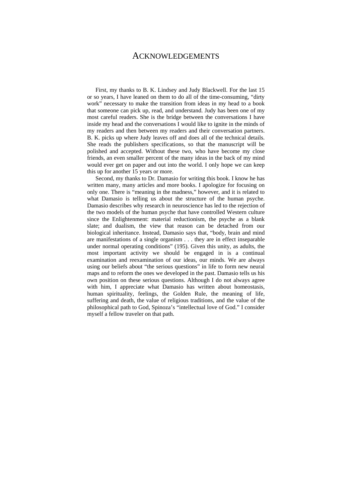#### ACKNOWLEDGEMENTS

First, my thanks to B. K. Lindsey and Judy Blackwell. For the last 15 or so years, I have leaned on them to do all of the time-consuming, "dirty work" necessary to make the transition from ideas in my head to a book that someone can pick up, read, and understand. Judy has been one of my most careful readers. She is the bridge between the conversations I have inside my head and the conversations I would like to ignite in the minds of my readers and then between my readers and their conversation partners. B. K. picks up where Judy leaves off and does all of the technical details. She reads the publishers specifications, so that the manuscript will be polished and accepted. Without these two, who have become my close friends, an even smaller percent of the many ideas in the back of my mind would ever get on paper and out into the world. I only hope we can keep this up for another 15 years or more.

Second, my thanks to Dr. Damasio for writing this book. I know he has written many, many articles and more books. I apologize for focusing on only one. There is "meaning in the madness," however, and it is related to what Damasio is telling us about the structure of the human psyche. Damasio describes why research in neuroscience has led to the rejection of the two models of the human psyche that have controlled Western culture since the Enlightenment: material reductionism, the psyche as a blank slate; and dualism, the view that reason can be detached from our biological inheritance. Instead, Damasio says that, "body, brain and mind are manifestations of a single organism . . . they are in effect inseparable under normal operating conditions" (195). Given this unity, as adults, the most important activity we should be engaged in is a continual examination and reexamination of our ideas, our minds. We are always using our beliefs about "the serious questions" in life to form new neural maps and to reform the ones we developed in the past. Damasio tells us his own position on these serious questions. Although I do not always agree with him, I appreciate what Damasio has written about homeostasis, human spirituality, feelings, the Golden Rule, the meaning of life, suffering and death, the value of religious traditions, and the value of the philosophical path to God, Spinoza's "intellectual love of God." I consider myself a fellow traveler on that path.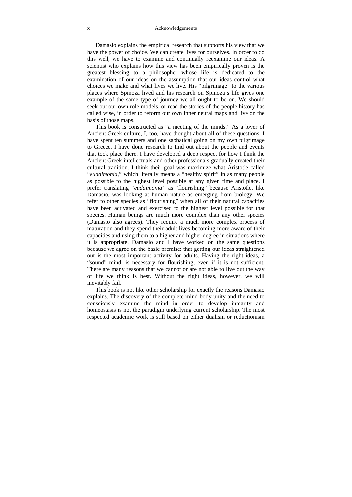#### x Acknowledgements

Damasio explains the empirical research that supports his view that we have the power of choice. We can create lives for ourselves. In order to do this well, we have to examine and continually reexamine our ideas. A scientist who explains how this view has been empirically proven is the greatest blessing to a philosopher whose life is dedicated to the examination of our ideas on the assumption that our ideas control what choices we make and what lives we live. His "pilgrimage" to the various places where Spinoza lived and his research on Spinoza's life gives one example of the same type of journey we all ought to be on. We should seek out our own role models, or read the stories of the people history has called wise, in order to reform our own inner neural maps and live on the basis of those maps.

This book is constructed as "a meeting of the minds." As a lover of Ancient Greek culture, I, too, have thought about all of these questions. I have spent ten summers and one sabbatical going on my own pilgrimage to Greece. I have done research to find out about the people and events that took place there. I have developed a deep respect for how I think the Ancient Greek intellectuals and other professionals gradually created their cultural tradition. I think their goal was maximize what Aristotle called "*eudaimonia,*" which literally means a "healthy spirit" in as many people as possible to the highest level possible at any given time and place. I prefer translating "*eudaimonia"* as "flourishing" because Aristotle, like Damasio, was looking at human nature as emerging from biology. We refer to other species as "flourishing" when all of their natural capacities have been activated and exercised to the highest level possible for that species. Human beings are much more complex than any other species (Damasio also agrees). They require a much more complex process of maturation and they spend their adult lives becoming more aware of their capacities and using them to a higher and higher degree in situations where it is appropriate. Damasio and I have worked on the same questions because we agree on the basic premise: that getting our ideas straightened out is the most important activity for adults. Having the right ideas, a "sound" mind, is necessary for flourishing, even if it is not sufficient. There are many reasons that we cannot or are not able to live out the way of life we think is best. Without the right ideas, however, we will inevitably fail.

This book is not like other scholarship for exactly the reasons Damasio explains. The discovery of the complete mind-body unity and the need to consciously examine the mind in order to develop integrity and homeostasis is not the paradigm underlying current scholarship. The most respected academic work is still based on either dualism or reductionism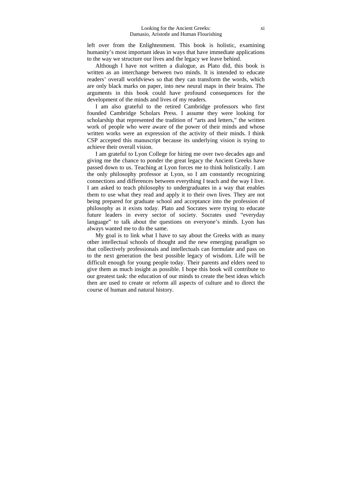left over from the Enlightenment. This book is holistic, examining humanity's most important ideas in ways that have immediate applications to the way we structure our lives and the legacy we leave behind.

Although I have not written a dialogue, as Plato did, this book is written as an interchange between two minds. It is intended to educate readers' overall worldviews so that they can transform the words, which are only black marks on paper, into new neural maps in their brains. The arguments in this book could have profound consequences for the development of the minds and lives of my readers.

I am also grateful to the retired Cambridge professors who first founded Cambridge Scholars Press. I assume they were looking for scholarship that represented the tradition of "arts and letters," the written work of people who were aware of the power of their minds and whose written works were an expression of the activity of their minds. I think CSP accepted this manuscript because its underlying vision is trying to achieve their overall vision.

I am grateful to Lyon College for hiring me over two decades ago and giving me the chance to ponder the great legacy the Ancient Greeks have passed down to us. Teaching at Lyon forces me to think holistically. I am the only philosophy professor at Lyon, so I am constantly recognizing connections and differences between everything I teach and the way I live. I am asked to teach philosophy to undergraduates in a way that enables them to use what they read and apply it to their own lives. They are not being prepared for graduate school and acceptance into the profession of philosophy as it exists today. Plato and Socrates were trying to educate future leaders in every sector of society. Socrates used "everyday language" to talk about the questions on everyone's minds. Lyon has always wanted me to do the same.

My goal is to link what I have to say about the Greeks with as many other intellectual schools of thought and the new emerging paradigm so that collectively professionals and intellectuals can formulate and pass on to the next generation the best possible legacy of wisdom. Life will be difficult enough for young people today. Their parents and elders need to give them as much insight as possible. I hope this book will contribute to our greatest task: the education of our minds to create the best ideas which then are used to create or reform all aspects of culture and to direct the course of human and natural history.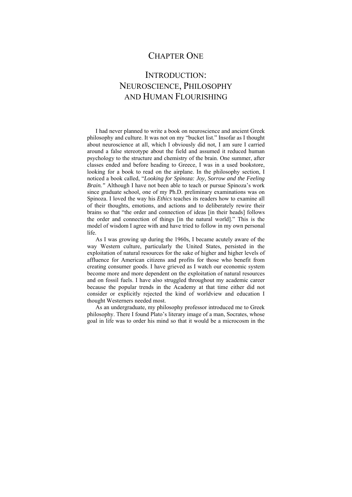## CHAPTER ONE

# INTRODUCTION: NEUROSCIENCE, PHILOSOPHY AND HUMAN FLOURISHING

I had never planned to write a book on neuroscience and ancient Greek philosophy and culture. It was not on my "bucket list." Insofar as I thought about neuroscience at all, which I obviously did not, I am sure I carried around a false stereotype about the field and assumed it reduced human psychology to the structure and chemistry of the brain. One summer, after classes ended and before heading to Greece, I was in a used bookstore, looking for a book to read on the airplane. In the philosophy section, I noticed a book called, "*Looking for Spinoza: Joy, Sorrow and the Feeling Brain."* Although I have not been able to teach or pursue Spinoza's work since graduate school, one of my Ph.D. preliminary examinations was on Spinoza. I loved the way his *Ethics* teaches its readers how to examine all of their thoughts, emotions, and actions and to deliberately rewire their brains so that "the order and connection of ideas [in their heads] follows the order and connection of things [in the natural world]." This is the model of wisdom I agree with and have tried to follow in my own personal life.

As I was growing up during the 1960s, I became acutely aware of the way Western culture, particularly the United States, persisted in the exploitation of natural resources for the sake of higher and higher levels of affluence for American citizens and profits for those who benefit from creating consumer goods. I have grieved as I watch our economic system become more and more dependent on the exploitation of natural resources and on fossil fuels. I have also struggled throughout my academic career because the popular trends in the Academy at that time either did not consider or explicitly rejected the kind of worldview and education I thought Westerners needed most.

As an undergraduate, my philosophy professor introduced me to Greek philosophy. There I found Plato's literary image of a man, Socrates, whose goal in life was to order his mind so that it would be a microcosm in the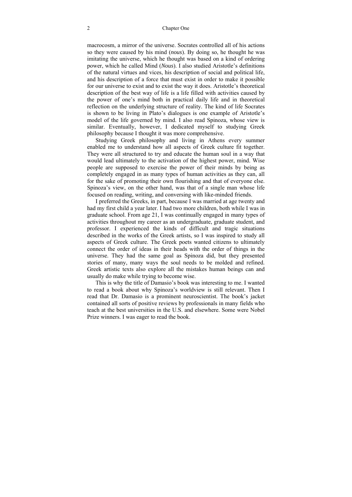macrocosm, a mirror of the universe. Socrates controlled all of his actions so they were caused by his mind (*nous*). By doing so, he thought he was imitating the universe, which he thought was based on a kind of ordering power, which he called Mind (*Nous*). I also studied Aristotle's definitions of the natural virtues and vices, his description of social and political life, and his description of a force that must exist in order to make it possible for our universe to exist and to exist the way it does. Aristotle's theoretical description of the best way of life is a life filled with activities caused by the power of one's mind both in practical daily life and in theoretical reflection on the underlying structure of reality. The kind of life Socrates is shown to be living in Plato's dialogues is one example of Aristotle's model of the life governed by mind. I also read Spinoza, whose view is similar. Eventually, however, I dedicated myself to studying Greek philosophy because I thought it was more comprehensive.

Studying Greek philosophy and living in Athens every summer enabled me to understand how all aspects of Greek culture fit together. They were all structured to try and educate the human soul in a way that would lead ultimately to the activation of the highest power, mind. Wise people are supposed to exercise the power of their minds by being as completely engaged in as many types of human activities as they can, all for the sake of promoting their own flourishing and that of everyone else. Spinoza's view, on the other hand, was that of a single man whose life focused on reading, writing, and conversing with like-minded friends.

I preferred the Greeks, in part, because I was married at age twenty and had my first child a year later. I had two more children, both while I was in graduate school. From age 21, I was continually engaged in many types of activities throughout my career as an undergraduate, graduate student, and professor. I experienced the kinds of difficult and tragic situations described in the works of the Greek artists, so I was inspired to study all aspects of Greek culture. The Greek poets wanted citizens to ultimately connect the order of ideas in their heads with the order of things in the universe. They had the same goal as Spinoza did, but they presented stories of many, many ways the soul needs to be molded and refined. Greek artistic texts also explore all the mistakes human beings can and usually do make while trying to become wise.

This is why the title of Damasio's book was interesting to me. I wanted to read a book about why Spinoza's worldview is still relevant. Then I read that Dr. Damasio is a prominent neuroscientist. The book's jacket contained all sorts of positive reviews by professionals in many fields who teach at the best universities in the U.S. and elsewhere. Some were Nobel Prize winners. I was eager to read the book.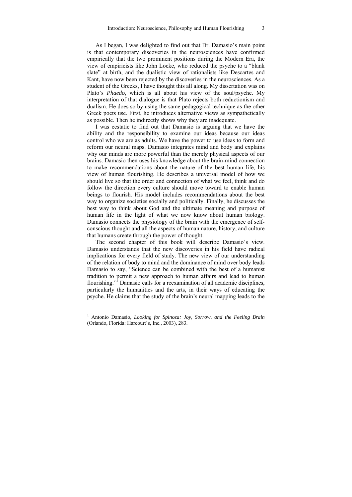As I began, I was delighted to find out that Dr. Damasio's main point is that contemporary discoveries in the neurosciences have confirmed empirically that the two prominent positions during the Modern Era, the view of empiricists like John Locke, who reduced the psyche to a "blank slate" at birth, and the dualistic view of rationalists like Descartes and Kant, have now been rejected by the discoveries in the neurosciences. As a student of the Greeks, I have thought this all along. My dissertation was on Plato's *Phaedo*, which is all about his view of the soul/psyche. My interpretation of that dialogue is that Plato rejects both reductionism and dualism. He does so by using the same pedagogical technique as the other Greek poets use. First, he introduces alternative views as sympathetically as possible. Then he indirectly shows why they are inadequate.

I was ecstatic to find out that Damasio is arguing that we have the ability and the responsibility to examine our ideas because our ideas control who we are as adults. We have the power to use ideas to form and reform our neural maps. Damasio integrates mind and body and explains why our minds are more powerful than the merely physical aspects of our brains. Damasio then uses his knowledge about the brain-mind connection to make recommendations about the nature of the best human life, his view of human flourishing. He describes a universal model of how we should live so that the order and connection of what we feel, think and do follow the direction every culture should move toward to enable human beings to flourish. His model includes recommendations about the best way to organize societies socially and politically. Finally, he discusses the best way to think about God and the ultimate meaning and purpose of human life in the light of what we now know about human biology. Damasio connects the physiology of the brain with the emergence of selfconscious thought and all the aspects of human nature, history, and culture that humans create through the power of thought.

The second chapter of this book will describe Damasio's view. Damasio understands that the new discoveries in his field have radical implications for every field of study. The new view of our understanding of the relation of body to mind and the dominance of mind over body leads Damasio to say, "Science can be combined with the best of a humanist tradition to permit a new approach to human affairs and lead to human flourishing."<sup>1</sup> Damasio calls for a reexamination of all academic disciplines, particularly the humanities and the arts, in their ways of educating the psyche. He claims that the study of the brain's neural mapping leads to the

 1 Antonio Damasio, *Looking for Spinoza: Joy, Sorrow, and the Feeling Brain* (Orlando, Florida: Harcourt's, Inc., 2003), 283.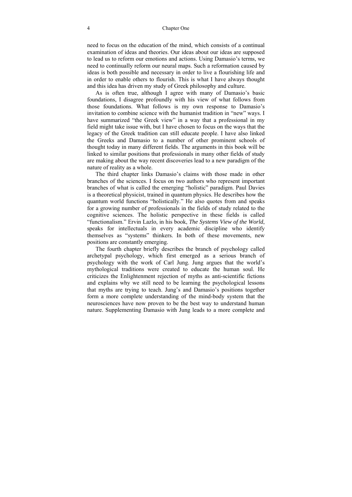#### 4 Chapter One

need to focus on the education of the mind, which consists of a continual examination of ideas and theories. Our ideas about our ideas are supposed to lead us to reform our emotions and actions. Using Damasio's terms, we need to continually reform our neural maps. Such a reformation caused by ideas is both possible and necessary in order to live a flourishing life and in order to enable others to flourish. This is what I have always thought and this idea has driven my study of Greek philosophy and culture.

As is often true, although I agree with many of Damasio's basic foundations, I disagree profoundly with his view of what follows from those foundations. What follows is my own response to Damasio's invitation to combine science with the humanist tradition in "new" ways. I have summarized "the Greek view" in a way that a professional in my field might take issue with, but I have chosen to focus on the ways that the legacy of the Greek tradition can still educate people. I have also linked the Greeks and Damasio to a number of other prominent schools of thought today in many different fields. The arguments in this book will be linked to similar positions that professionals in many other fields of study are making about the way recent discoveries lead to a new paradigm of the nature of reality as a whole.

The third chapter links Damasio's claims with those made in other branches of the sciences. I focus on two authors who represent important branches of what is called the emerging "holistic" paradigm. Paul Davies is a theoretical physicist, trained in quantum physics. He describes how the quantum world functions "holistically." He also quotes from and speaks for a growing number of professionals in the fields of study related to the cognitive sciences. The holistic perspective in these fields is called "functionalism." Ervin Lazlo, in his book, *The Systems View of the World*, speaks for intellectuals in every academic discipline who identify themselves as "systems" thinkers. In both of these movements, new positions are constantly emerging.

The fourth chapter briefly describes the branch of psychology called archetypal psychology, which first emerged as a serious branch of psychology with the work of Carl Jung. Jung argues that the world's mythological traditions were created to educate the human soul. He criticizes the Enlightenment rejection of myths as anti-scientific fictions and explains why we still need to be learning the psychological lessons that myths are trying to teach. Jung's and Damasio's positions together form a more complete understanding of the mind-body system that the neurosciences have now proven to be the best way to understand human nature. Supplementing Damasio with Jung leads to a more complete and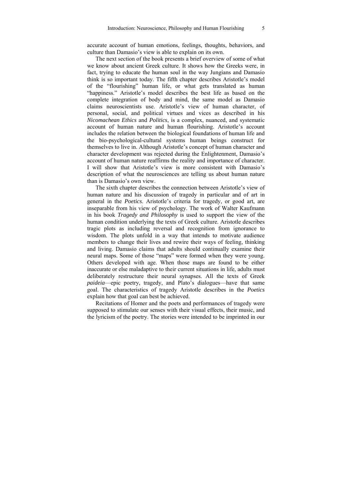accurate account of human emotions, feelings, thoughts, behaviors, and culture than Damasio's view is able to explain on its own.

The next section of the book presents a brief overview of some of what we know about ancient Greek culture. It shows how the Greeks were, in fact, trying to educate the human soul in the way Jungians and Damasio think is so important today. The fifth chapter describes Aristotle's model of the "flourishing" human life, or what gets translated as human "happiness." Aristotle's model describes the best life as based on the complete integration of body and mind, the same model as Damasio claims neuroscientists use. Aristotle's view of human character, of personal, social, and political virtues and vices as described in his *Nicomachean Ethics* and *Politics*, is a complex, nuanced, and systematic account of human nature and human flourishing. Aristotle's account includes the relation between the biological foundations of human life and the bio-psychological-cultural systems human beings construct for themselves to live in. Although Aristotle's concept of human character and character development was rejected during the Enlightenment, Damasio's account of human nature reaffirms the reality and importance of character. I will show that Aristotle's view is more consistent with Damasio's description of what the neurosciences are telling us about human nature than is Damasio's own view.

The sixth chapter describes the connection between Aristotle's view of human nature and his discussion of tragedy in particular and of art in general in the *Poetics*. Aristotle's criteria for tragedy, or good art, are inseparable from his view of psychology. The work of Walter Kaufmann in his book *Tragedy and Philosophy* is used to support the view of the human condition underlying the texts of Greek culture. Aristotle describes tragic plots as including reversal and recognition from ignorance to wisdom. The plots unfold in a way that intends to motivate audience members to change their lives and rewire their ways of feeling, thinking and living. Damasio claims that adults should continually examine their neural maps. Some of those "maps" were formed when they were young. Others developed with age. When those maps are found to be either inaccurate or else maladaptive to their current situations in life, adults must deliberately restructure their neural synapses. All the texts of Greek *paideia*—epic poetry, tragedy, and Plato's dialogues—have that same goal. The characteristics of tragedy Aristotle describes in the *Poetics*  explain how that goal can best be achieved.

Recitations of Homer and the poets and performances of tragedy were supposed to stimulate our senses with their visual effects, their music, and the lyricism of the poetry. The stories were intended to be imprinted in our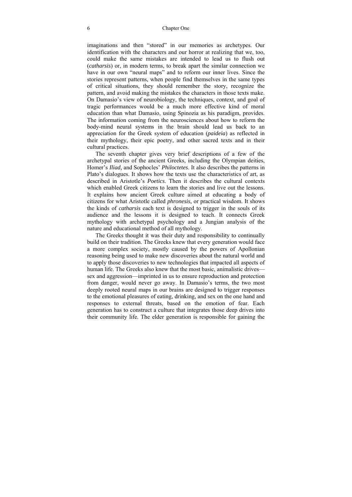#### 6 Chapter One

imaginations and then "stored" in our memories as archetypes. Our identification with the characters and our horror at realizing that we, too, could make the same mistakes are intended to lead us to flush out (*catharsis*) or, in modern terms, to break apart the similar connection we have in our own "neural maps" and to reform our inner lives. Since the stories represent patterns, when people find themselves in the same types of critical situations, they should remember the story, recognize the pattern, and avoid making the mistakes the characters in those texts make. On Damasio's view of neurobiology, the techniques, context, and goal of tragic performances would be a much more effective kind of moral education than what Damasio, using Spinozia as his paradigm, provides. The information coming from the neurosciences about how to reform the body-mind neural systems in the brain should lead us back to an appreciation for the Greek system of education (*paideia*) as reflected in their mythology, their epic poetry, and other sacred texts and in their cultural practices.

The seventh chapter gives very brief descriptions of a few of the archetypal stories of the ancient Greeks, including the Olympian deities, Homer's *Iliad,* and Sophocles' *Philoctetes*. It also describes the patterns in Plato's dialogues. It shows how the texts use the characteristics of art, as described in Aristotle's *Poetics*. Then it describes the cultural contexts which enabled Greek citizens to learn the stories and live out the lessons. It explains how ancient Greek culture aimed at educating a body of citizens for what Aristotle called *phronesis,* or practical wisdom. It shows the kinds of *catharsis* each text is designed to trigger in the souls of its audience and the lessons it is designed to teach. It connects Greek mythology with archetypal psychology and a Jungian analysis of the nature and educational method of all mythology.

The Greeks thought it was their duty and responsibility to continually build on their tradition. The Greeks knew that every generation would face a more complex society, mostly caused by the powers of Apollonian reasoning being used to make new discoveries about the natural world and to apply those discoveries to new technologies that impacted all aspects of human life. The Greeks also knew that the most basic, animalistic drives sex and aggression—imprinted in us to ensure reproduction and protection from danger, would never go away. In Damasio's terms, the two most deeply rooted neural maps in our brains are designed to trigger responses to the emotional pleasures of eating, drinking, and sex on the one hand and responses to external threats, based on the emotion of fear. Each generation has to construct a culture that integrates those deep drives into their community life. The elder generation is responsible for gaining the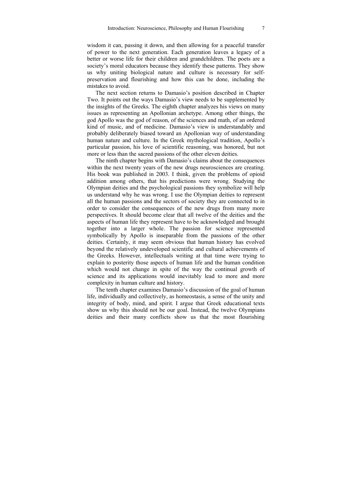wisdom it can, passing it down, and then allowing for a peaceful transfer of power to the next generation. Each generation leaves a legacy of a better or worse life for their children and grandchildren. The poets are a society's moral educators because they identify these patterns. They show us why uniting biological nature and culture is necessary for selfpreservation and flourishing and how this can be done, including the mistakes to avoid.

The next section returns to Damasio's position described in Chapter Two. It points out the ways Damasio's view needs to be supplemented by the insights of the Greeks. The eighth chapter analyzes his views on many issues as representing an Apollonian archetype. Among other things, the god Apollo was the god of reason, of the sciences and math, of an ordered kind of music, and of medicine. Damasio's view is understandably and probably deliberately biased toward an Apollonian way of understanding human nature and culture. In the Greek mythological tradition, Apollo's particular passion, his love of scientific reasoning, was honored, but not more or less than the sacred passions of the other eleven deities.

The ninth chapter begins with Damasio's claims about the consequences within the next twenty years of the new drugs neurosciences are creating. His book was published in 2003. I think, given the problems of opioid addition among others, that his predictions were wrong. Studying the Olympian deities and the psychological passions they symbolize will help us understand why he was wrong. I use the Olympian deities to represent all the human passions and the sectors of society they are connected to in order to consider the consequences of the new drugs from many more perspectives. It should become clear that all twelve of the deities and the aspects of human life they represent have to be acknowledged and brought together into a larger whole. The passion for science represented symbolically by Apollo is inseparable from the passions of the other deities. Certainly, it may seem obvious that human history has evolved beyond the relatively undeveloped scientific and cultural achievements of the Greeks. However, intellectuals writing at that time were trying to explain to posterity those aspects of human life and the human condition which would not change in spite of the way the continual growth of science and its applications would inevitably lead to more and more complexity in human culture and history.

The tenth chapter examines Damasio's discussion of the goal of human life, individually and collectively, as homeostasis, a sense of the unity and integrity of body, mind, and spirit. I argue that Greek educational texts show us why this should not be our goal. Instead, the twelve Olympians deities and their many conflicts show us that the most flourishing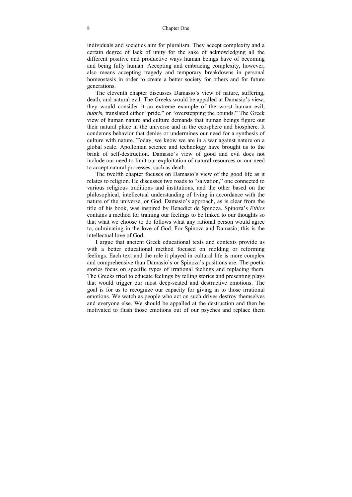#### 8 Chapter One

individuals and societies aim for pluralism. They accept complexity and a certain degree of lack of unity for the sake of acknowledging all the different positive and productive ways human beings have of becoming and being fully human. Accepting and embracing complexity, however, also means accepting tragedy and temporary breakdowns in personal homeostasis in order to create a better society for others and for future generations.

The eleventh chapter discusses Damasio's view of nature, suffering, death, and natural evil. The Greeks would be appalled at Damasio's view; they would consider it an extreme example of the worst human evil, *hubris,* translated either "pride," or "overstepping the bounds." The Greek view of human nature and culture demands that human beings figure out their natural place in the universe and in the ecosphere and biosphere. It condemns behavior that denies or undermines our need for a synthesis of culture with nature. Today, we know we are in a war against nature on a global scale. Apollonian science and technology have brought us to the brink of self-destruction. Damasio's view of good and evil does not include our need to limit our exploitation of natural resources or our need to accept natural processes, such as death.

The twelfth chapter focuses on Damasio's view of the good life as it relates to religion. He discusses two roads to "salvation," one connected to various religious traditions and institutions, and the other based on the philosophical, intellectual understanding of living in accordance with the nature of the universe, or God. Damasio's approach, as is clear from the title of his book, was inspired by Benedict de Spinoza. Spinoza's *Ethics* contains a method for training our feelings to be linked to our thoughts so that what we choose to do follows what any rational person would agree to, culminating in the love of God. For Spinoza and Damasio, this is the intellectual love of God.

I argue that ancient Greek educational texts and contexts provide us with a better educational method focused on molding or reforming feelings. Each text and the role it played in cultural life is more complex and comprehensive than Damasio's or Spinoza's positions are. The poetic stories focus on specific types of irrational feelings and replacing them. The Greeks tried to educate feelings by telling stories and presenting plays that would trigger our most deep-seated and destructive emotions. The goal is for us to recognize our capacity for giving in to those irrational emotions. We watch as people who act on such drives destroy themselves and everyone else. We should be appalled at the destruction and then be motivated to flush those emotions out of our psyches and replace them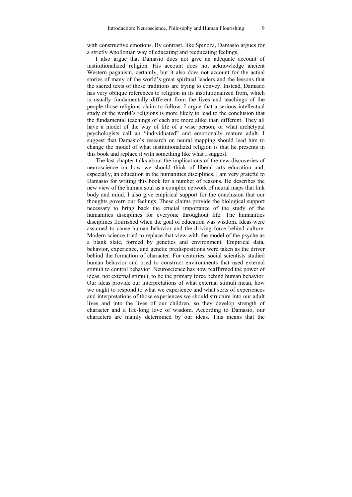with constructive emotions. By contrast, like Spinoza, Damasio argues for a strictly Apollonian way of educating and reeducating feelings.

I also argue that Damasio does not give an adequate account of institutionalized religion. His account does not acknowledge ancient Western paganism, certainly, but it also does not account for the actual stories of many of the world's great spiritual leaders and the lessons that the sacred texts of those traditions are trying to convey. Instead, Damasio has very oblique references to religion in its institutionalized from, which is usually fundamentally different from the lives and teachings of the people those religions claim to follow. I argue that a serious intellectual study of the world's religions is more likely to lead to the conclusion that the fundamental teachings of each are more alike than different. They all have a model of the way of life of a wise person, or what archetypal psychologists call an "individuated" and emotionally mature adult. I suggest that Damasio's research on neural mapping should lead him to change the model of what institutionalized religion is that he presents in this book and replace it with something like what I suggest.

The last chapter talks about the implications of the new discoveries of neuroscience on how we should think of liberal arts education and, especially, an education in the humanities disciplines. I am very grateful to Damasio for writing this book for a number of reasons. He describes the new view of the human soul as a complex network of neural maps that link body and mind. I also give empirical support for the conclusion that our thoughts govern our feelings. These claims provide the biological support necessary to bring back the crucial importance of the study of the humanities disciplines for everyone throughout life. The humanities disciplines flourished when the goal of education was wisdom. Ideas were assumed to cause human behavior and the driving force behind culture. Modern science tried to replace that view with the model of the psyche as a blank slate, formed by genetics and environment. Empirical data, behavior, experience, and genetic predispositions were taken as the driver behind the formation of character. For centuries, social scientists studied human behavior and tried to construct environments that used external stimuli to control behavior. Neuroscience has now reaffirmed the power of ideas, not external stimuli, to be the primary force behind human behavior. Our ideas provide our interpretations of what external stimuli mean, how we ought to respond to what we experience and what sorts of experiences and interpretations of those experiences we should structure into our adult lives and into the lives of our children, so they develop strength of character and a life-long love of wisdom. According to Damasio, our characters are mainly determined by our ideas. This means that the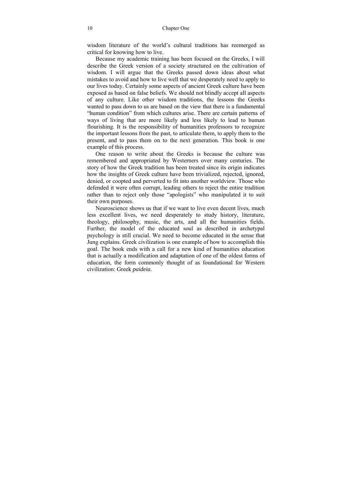wisdom literature of the world's cultural traditions has reemerged as critical for knowing how to live.

Because my academic training has been focused on the Greeks, I will describe the Greek version of a society structured on the cultivation of wisdom. I will argue that the Greeks passed down ideas about what mistakes to avoid and how to live well that we desperately need to apply to our lives today. Certainly some aspects of ancient Greek culture have been exposed as based on false beliefs. We should not blindly accept all aspects of any culture. Like other wisdom traditions, the lessons the Greeks wanted to pass down to us are based on the view that there is a fundamental "human condition" from which cultures arise. There are certain patterns of ways of living that are more likely and less likely to lead to human flourishing. It is the responsibility of humanities professors to recognize the important lessons from the past, to articulate them, to apply them to the present, and to pass them on to the next generation. This book is one example of this process.

One reason to write about the Greeks is because the culture was remembered and appropriated by Westerners over many centuries. The story of how the Greek tradition has been treated since its origin indicates how the insights of Greek culture have been trivialized, rejected, ignored, denied, or coopted and perverted to fit into another worldview. Those who defended it were often corrupt, leading others to reject the entire tradition rather than to reject only those "apologists" who manipulated it to suit their own purposes.

Neuroscience shows us that if we want to live even decent lives, much less excellent lives, we need desperately to study history, literature, theology, philosophy, music, the arts, and all the humanities fields. Further, the model of the educated soul as described in archetypal psychology is still crucial. We need to become educated in the sense that Jung explains. Greek civilization is one example of how to accomplish this goal. The book ends with a call for a new kind of humanities education that is actually a modification and adaptation of one of the oldest forms of education, the form commonly thought of as foundational for Western civilization: Greek *paideia*.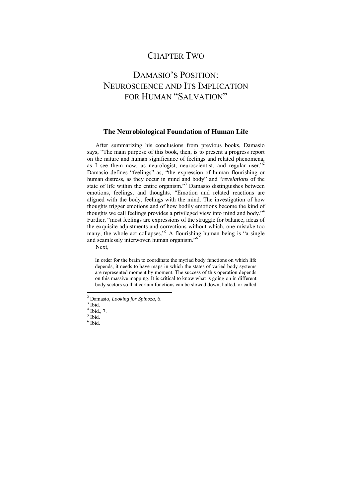### CHAPTER TWO

# DAMASIO'S POSITION: NEUROSCIENCE AND ITS IMPLICATION FOR HUMAN "SALVATION"

#### **The Neurobiological Foundation of Human Life**

After summarizing his conclusions from previous books, Damasio says, "The main purpose of this book, then, is to present a progress report on the nature and human significance of feelings and related phenomena, as I see them now, as neurologist, neuroscientist, and regular user."2 Damasio defines "feelings" as, "the expression of human flourishing or human distress, as they occur in mind and body" and "*revelations* of the state of life within the entire organism."<sup>3</sup> Damasio distinguishes between emotions, feelings, and thoughts. "Emotion and related reactions are aligned with the body, feelings with the mind. The investigation of how thoughts trigger emotions and of how bodily emotions become the kind of thoughts we call feelings provides a privileged view into mind and body."4 Further, "most feelings are expressions of the struggle for balance, ideas of the exquisite adjustments and corrections without which, one mistake too many, the whole act collapses."<sup>5</sup> A flourishing human being is "a single and seamlessly interwoven human organism."6

Next,

In order for the brain to coordinate the myriad body functions on which life depends, it needs to have maps in which the states of varied body systems are represented moment by moment. The success of this operation depends on this massive mapping. It is critical to know what is going on in different body sectors so that certain functions can be slowed down, halted, or called

 $\overline{a}$ 

6 Ibid.

<sup>2</sup> Damasio, *Looking for Spinoza*, 6. 3

 $3$  Ibid.

 $<sup>4</sup>$  Ibid., 7.</sup>

 $<sup>5</sup>$  Ibid.</sup>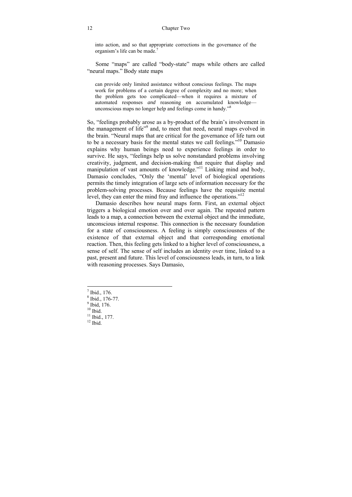#### 12 Chapter Two

into action, and so that appropriate corrections in the governance of the organism's life can be made.7

Some "maps" are called "body-state" maps while others are called "neural maps." Body state maps

can provide only limited assistance without conscious feelings. The maps work for problems of a certain degree of complexity and no more; when the problem gets too complicated—when it requires a mixture of automated responses *and* reasoning on accumulated knowledge unconscious maps no longer help and feelings come in handy."8

So, "feelings probably arose as a by-product of the brain's involvement in the management of life"<sup>9</sup> and, to meet that need, neural maps evolved in the brain. "Neural maps that are critical for the governance of life turn out to be a necessary basis for the mental states we call feelings."10 Damasio explains why human beings need to experience feelings in order to survive. He says, "feelings help us solve nonstandard problems involving creativity, judgment, and decision-making that require that display and manipulation of vast amounts of knowledge."<sup>11</sup> Linking mind and body, Damasio concludes, "Only the 'mental' level of biological operations permits the timely integration of large sets of information necessary for the problem-solving processes. Because feelings have the requisite mental level, they can enter the mind fray and influence the operations."<sup>12</sup>

Damasio describes how neural maps form. First, an external object triggers a biological emotion over and over again. The repeated pattern leads to a map, a connection between the external object and the immediate, unconscious internal response. This connection is the necessary foundation for a state of consciousness. A feeling is simply consciousness of the existence of that external object and that corresponding emotional reaction. Then, this feeling gets linked to a higher level of consciousness, a sense of self. The sense of self includes an identity over time, linked to a past, present and future. This level of consciousness leads, in turn, to a link with reasoning processes. Says Damasio,

 $12$  Ibid.

 7 Ibid., 176.

<sup>8</sup> Ibid., 176-77.

<sup>&</sup>lt;sup>9</sup> Ibid, 176.

 $10$  Ibid.

 $11$  Ibid., 177.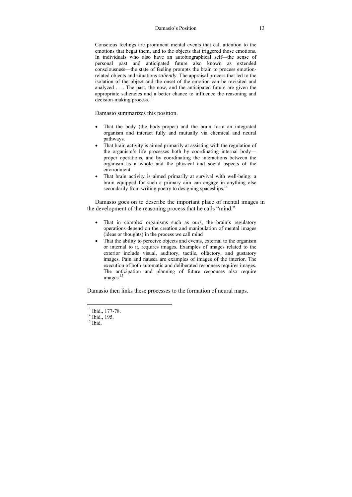Conscious feelings are prominent mental events that call attention to the emotions that begat them, and to the objects that triggered those emotions. In individuals who also have an autobiographical self—the sense of personal past and anticipated future also known as extended consciousness—the state of feeling prompts the brain to process emotionrelated objects and situations *saliently*. The appraisal process that led to the isolation of the object and the onset of the emotion can be revisited and analyzed . . . The past, the now, and the anticipated future are given the appropriate saliencies and a better chance to influence the reasoning and decision-making process.<sup>13</sup>

Damasio summarizes this position.

- That the body (the body-proper) and the brain form an integrated organism and interact fully and mutually via chemical and neural pathways.
- That brain activity is aimed primarily at assisting with the regulation of the organism's life processes both by coordinating internal body proper operations, and by coordinating the interactions between the organism as a whole and the physical and social aspects of the environment.
- That brain activity is aimed primarily at survival with well-being; a brain equipped for such a primary aim can engage in anything else secondarily from writing poetry to designing spaceships.<sup>14</sup>

Damasio goes on to describe the important place of mental images in the development of the reasoning process that he calls "mind."

- That in complex organisms such as ours, the brain's regulatory operations depend on the creation and manipulation of mental images (ideas or thoughts) in the process we call mind
- That the ability to perceive objects and events, external to the organism or internal to it, requires images. Examples of images related to the exterior include visual, auditory, tactile, olfactory, and gustatory images. Pain and nausea are examples of images of the interior. The execution of both automatic and deliberated responses requires images. The anticipation and planning of future responses also require images.<sup>15</sup>

Damasio then links these processes to the formation of neural maps.

 $\overline{a}$ 

<sup>13</sup> Ibid., 177-78.

 $14$  Ibid., 195.

 $15$  Ibid.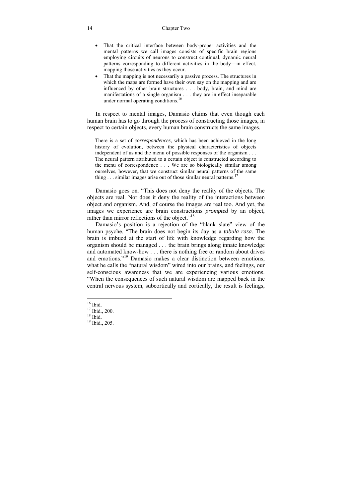#### 14 Chapter Two

- That the critical interface between body-proper activities and the mental patterns we call images consists of specific brain regions employing circuits of neurons to construct continual, dynamic neural patterns corresponding to different activities in the body—in effect, mapping those activities as they occur.
- That the mapping is not necessarily a passive process. The structures in which the maps are formed have their own say on the mapping and are influenced by other brain structures . . . body, brain, and mind are manifestations of a single organism . . . they are in effect inseparable under normal operating conditions.<sup>16</sup>

In respect to mental images, Damasio claims that even though each human brain has to go through the process of constructing those images, in respect to certain objects, every human brain constructs the same images.

There is a set of *correspondences*, which has been achieved in the long history of evolution, between the physical characteristics of objects independent of us and the menu of possible responses of the organism . . . The neural pattern attributed to a certain object is constructed according to the menu of correspondence . . . We are so biologically similar among ourselves, however, that we construct similar neural patterns of the same thing  $\ldots$  similar images arise out of those similar neural patterns.<sup>17</sup>

Damasio goes on. "This does not deny the reality of the objects. The objects are real. Nor does it deny the reality of the interactions between object and organism. And, of course the images are real too. And yet, the images we experience are brain constructions *prompted* by an object, rather than mirror reflections of the object."<sup>18</sup>

Damasio's position is a rejection of the "blank slate" view of the human psyche. "The brain does not begin its day as a *tabula rasa.* The brain is imbued at the start of life with knowledge regarding how the organism should be managed . . . the brain brings along innate knowledge and automated know-how . . . there is nothing free or random about drives and emotions."19 Damasio makes a clear distinction between emotions, what he calls the "natural wisdom" wired into our brains, and feelings, our self-conscious awareness that we are experiencing various emotions. "When the consequences of such natural wisdom are mapped back in the central nervous system, subcortically and cortically, the result is feelings,

 $\overline{a}$ 

 $18$  Ibid.

 $16$  Ibid.

<sup>17</sup> Ibid., 200.

<sup>19</sup> Ibid., 205.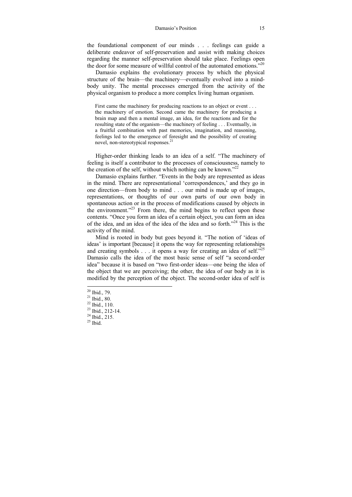the foundational component of our minds . . . feelings can guide a deliberate endeavor of self-preservation and assist with making choices regarding the manner self-preservation should take place. Feelings open the door for some measure of willful control of the automated emotions."20

Damasio explains the evolutionary process by which the physical structure of the brain—the machinery—eventually evolved into a mindbody unity. The mental processes emerged from the activity of the physical organism to produce a more complex living human organism.

First came the machinery for producing reactions to an object or event . . . the machinery of emotion. Second came the machinery for producing a brain map and then a mental image, an idea, for the reactions and for the resulting state of the organism—the machinery of feeling . . . Eventually, in a fruitful combination with past memories, imagination, and reasoning, feelings led to the emergence of foresight and the possibility of creating novel, non-stereotypical responses.<sup>21</sup>

Higher-order thinking leads to an idea of a self. "The machinery of feeling is itself a contributor to the processes of consciousness, namely to the creation of the self, without which nothing can be known."<sup>22</sup>

Damasio explains further. "Events in the body are represented as ideas in the mind. There are representational 'correspondences,' and they go in one direction—from body to mind . . . our mind is made up of images, representations, or thoughts of our own parts of our own body in spontaneous action or in the process of modifications caused by objects in the environment."<sup>23</sup> From there, the mind begins to reflect upon these contents. "Once you form an idea of a certain object, you can form an idea of the idea, and an idea of the idea of the idea and so forth."24 This is the activity of the mind.

Mind is rooted in body but goes beyond it. "The notion of 'ideas of ideas' is important [because] it opens the way for representing relationships and creating symbols . . . it opens a way for creating an idea of self.<sup>525</sup> Damasio calls the idea of the most basic sense of self "a second-order idea" because it is based on "two first-order ideas—one being the idea of the object that we are perceiving; the other, the idea of our body as it is modified by the perception of the object. The second-order idea of self is

1

 $25$  Ibid.

 $20$  Ibid., 79.

 $21$  Ibid., 80.

 $22$  Ibid., 110.

<sup>&</sup>lt;sup>23</sup> Ibid., 212-14.

 $^{24}$  Ibid., 215.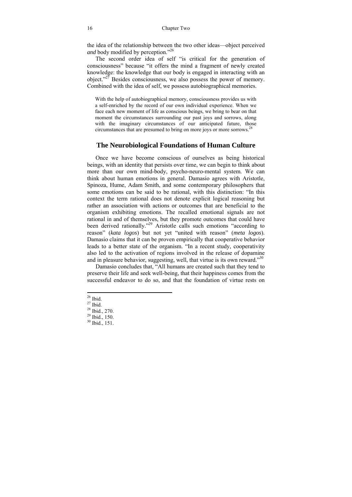the idea of the relationship between the two other ideas—object perceived *and* body modified by perception."<sup>26</sup>

The second order idea of self "is critical for the generation of consciousness" because "it offers the mind a fragment of newly created knowledge: the knowledge that our body is engaged in interacting with an object." $2^7$  Besides consciousness, we also possess the power of memory. Combined with the idea of self, we possess autobiographical memories.

With the help of autobiographical memory, consciousness provides us with a self-enriched by the record of our own individual experience. When we face each new moment of life as conscious beings, we bring to bear on that moment the circumstances surrounding our past joys and sorrows, along with the imaginary circumstances of our anticipated future, those circumstances that are presumed to bring on more joys or more sorrows.28

#### **The Neurobiological Foundations of Human Culture**

Once we have become conscious of ourselves as being historical beings, with an identity that persists over time, we can begin to think about more than our own mind-body, psycho-neuro-mental system. We can think about human emotions in general. Damasio agrees with Aristotle, Spinoza, Hume, Adam Smith, and some contemporary philosophers that some emotions can be said to be rational, with this distinction: "In this context the term rational does not denote explicit logical reasoning but rather an association with actions or outcomes that are beneficial to the organism exhibiting emotions. The recalled emotional signals are not rational in and of themselves, but they promote outcomes that could have been derived rationally."<sup>29</sup> Aristotle calls such emotions "according to reason" (*kata logos*) but not yet "united with reason" (*meta logos*). Damasio claims that it can be proven empirically that cooperative behavior leads to a better state of the organism. "In a recent study, cooperativity also led to the activation of regions involved in the release of dopamine and in pleasure behavior, suggesting, well, that virtue is its own reward."<sup>30</sup>

Damasio concludes that, "All humans are created such that they tend to preserve their life and seek well-being, that their happiness comes from the successful endeavor to do so, and that the foundation of virtue rests on

 $\overline{a}$  $26$  Ibid.

 $27$  Ibid.

 $28$  Ibid., 270.

 $29$  Ibid., 150.

<sup>30</sup> Ibid., 151.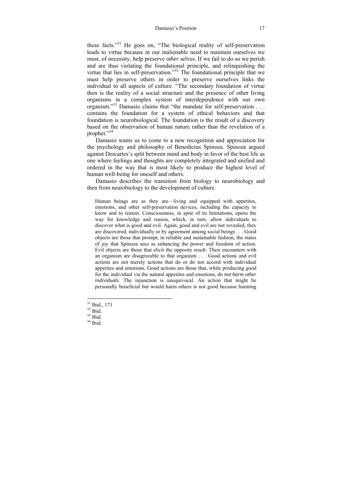these facts."31 He goes on, "The biological reality of self-preservation leads to virtue because in our inalienable need to maintain ourselves we must, of necessity, help preserve *other* selves. If we fail to do so we perish and are thus violating the foundational principle, and relinquishing the virtue that lies in self-preservation."32 The foundational principle that we must help preserve others in order to preserve ourselves links the individual to all aspects of culture. "The secondary foundation of virtue then is the reality of a social structure and the presence of other living organisms in a complex system of interdependence with our own organism."33 Damasio claims that "the mandate for self-preservation . . . contains the foundation for a system of ethical behaviors and that foundation is neurobiological. The foundation is the result of a discovery based on the observation of human nature rather than the revelation of a prophet."34

Damasio wants us to come to a new recognition and appreciation for the psychology and philosophy of Benedictus Spinoza. Spinoza argued against Descartes's split between mind and body in favor of the best life as one where feelings and thoughts are completely integrated and unified and ordered in the way that is most likely to produce the highest level of human well-being for oneself and others.

Damasio describes the transition from biology to neurobiology and then from neurobiology to the development of culture.

Human beings are as they are—living and equipped with appetites, emotions, and other self-preservation devices, including the capacity to know and to reason. Consciousness, in spite of its limitations, opens the way for knowledge and reason, which, in turn, allow individuals to discover what is good and evil. Again, good and evil are not revealed, they are discovered, individually or by agreement among social beings . . . Good objects are those that prompt, in reliable and sustainable fashion, the states of joy that Spinoza sees as enhancing the power and freedom of action. Evil objects are those that elicit the opposite result: Their encounters with an organism are disagreeable to that organism . . . Good actions and evil actions are not merely actions that do or do not accord with individual appetites and emotions. Good actions are those that, while producing good for the individual via the natural appetites and emotions, *do not harm other individuals.* The injunction is unequivocal. An action that might be personally beneficial but would harm others is not good because harming

 $32$  Ibid.

 $\overline{a}$ 

- $33$  Ibid.
- $34$  Ibid.

 $31$  Ibid., 171